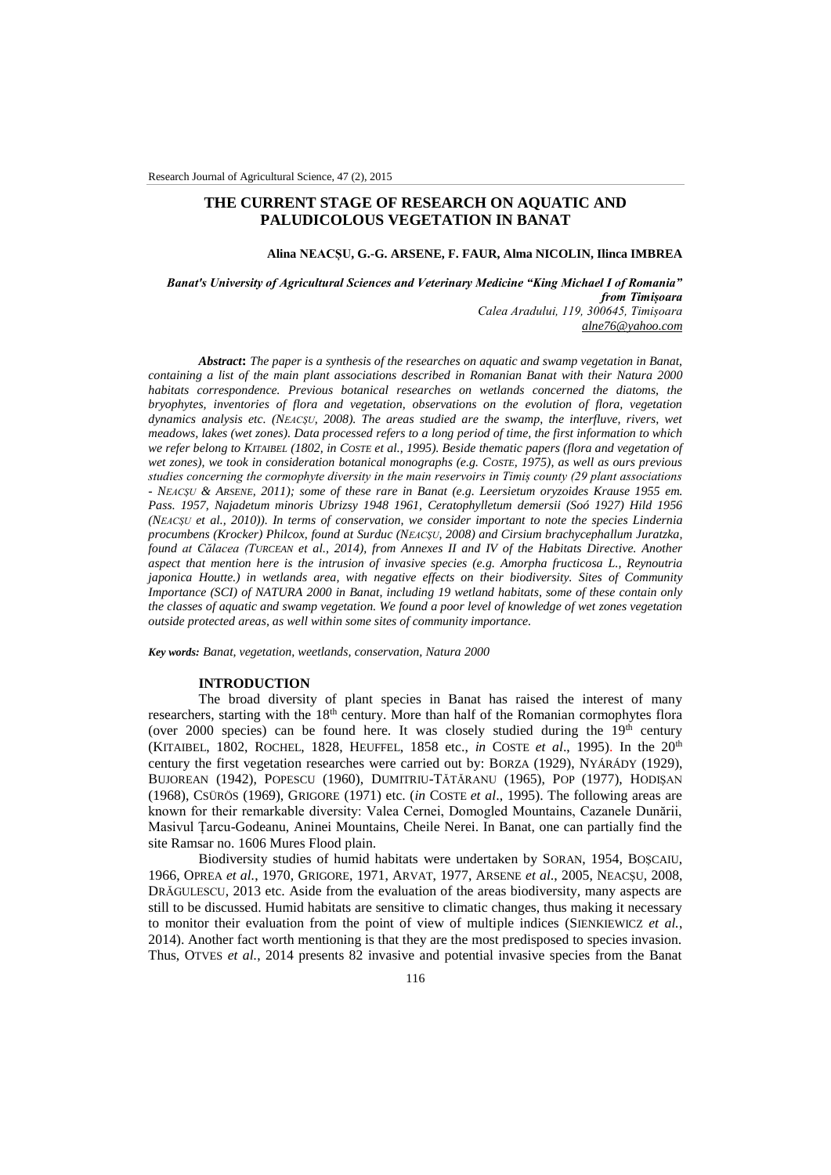# **THE CURRENT STAGE OF RESEARCH ON AQUATIC AND PALUDICOLOUS VEGETATION IN BANAT**

### **Alina NEACȘU, G.-G. ARSENE, F. FAUR, Alma NICOLIN, Ilinca IMBREA**

*Banat's University of Agricultural Sciences and Veterinary Medicine "King Michael I of Romania" from Timișoara Calea Aradului, 119, 300645, Timișoara [alne76@yahoo.com](mailto:alne76@yahoo.com)*

*Abstract***:** *The paper is a synthesis of the researches on aquatic and swamp vegetation in Banat, containing a list of the main plant associations described in Romanian Banat with their Natura 2000 habitats correspondence. Previous botanical researches on wetlands concerned the diatoms, the bryophytes, inventories of flora and vegetation, observations on the evolution of flora, vegetation dynamics analysis etc. (NEACŞU, 2008). The areas studied are the swamp, the interfluve, rivers, wet meadows, lakes (wet zones). Data processed refers to a long period of time, the first information to which we refer belong to KITAIBEL (1802, in COSTE et al., 1995). Beside thematic papers (flora and vegetation of wet zones), we took in consideration botanical monographs (e.g. COSTE, 1975), as well as ours previous studies concerning the cormophyte diversity in the main reservoirs in Timiș county (29 plant associations - NEACŞU & ARSENE, 2011); some of these rare in Banat (e.g. Leersietum oryzoides Krause 1955 em. Pass. 1957, Najadetum minoris Ubrizsy 1948 1961, Ceratophylletum demersii (Soó 1927) Hild 1956 (NEACŞU et al., 2010)). In terms of conservation, we consider important to note the species Lindernia procumbens (Krocker) Philcox, found at Surduc (NEACŞU, 2008) and Cirsium brachycephallum Juratzka, found at Călacea (TURCEAN et al., 2014), from Annexes II and IV of the Habitats Directive. Another aspect that mention here is the intrusion of invasive species (e.g. Amorpha fructicosa L., Reynoutria japonica Houtte.) in wetlands area, with negative effects on their biodiversity. Sites of Community Importance (SCI) of NATURA 2000 in Banat, including 19 wetland habitats, some of these contain only the classes of aquatic and swamp vegetation. We found a poor level of knowledge of wet zones vegetation outside protected areas, as well within some sites of community importance.* 

*Key words: Banat, vegetation, weetlands, conservation, Natura 2000*

### **INTRODUCTION**

The broad diversity of plant species in Banat has raised the interest of many researchers, starting with the  $18<sup>th</sup>$  century. More than half of the Romanian cormophytes flora (over 2000 species) can be found here. It was closely studied during the  $19<sup>th</sup>$  century (KITAIBEL, 1802, ROCHEL, 1828, HEUFFEL, 1858 etc., *in* COSTE *et al*., 1995). In the 20th century the first vegetation researches were carried out by: BORZA (1929), NYÁRÁDY (1929), BUJOREAN (1942), POPESCU (1960), DUMITRIU-TĂTĂRANU (1965), POP (1977), HODIŞAN (1968), CSÜRÖS (1969), GRIGORE (1971) etc. (*in* COSTE *et al*., 1995). The following areas are known for their remarkable diversity: Valea Cernei, Domogled Mountains, Cazanele Dunării, Masivul Țarcu-Godeanu, Aninei Mountains, Cheile Nerei. In Banat, one can partially find the site Ramsar no. 1606 Mures Flood plain.

Biodiversity studies of humid habitats were undertaken by SORAN, 1954, BOŞCAIU, 1966, OPREA *et al.*, 1970, GRIGORE, 1971, ARVAT, 1977, ARSENE *et al*., 2005, NEACŞU, 2008, DRĂGULESCU, 2013 etc. Aside from the evaluation of the areas biodiversity, many aspects are still to be discussed. Humid habitats are sensitive to climatic changes, thus making it necessary to monitor their evaluation from the point of view of multiple indices (SIENKIEWICZ *et al.*, 2014). Another fact worth mentioning is that they are the most predisposed to species invasion. Thus, OTVES *et al.*, 2014 presents 82 invasive and potential invasive species from the Banat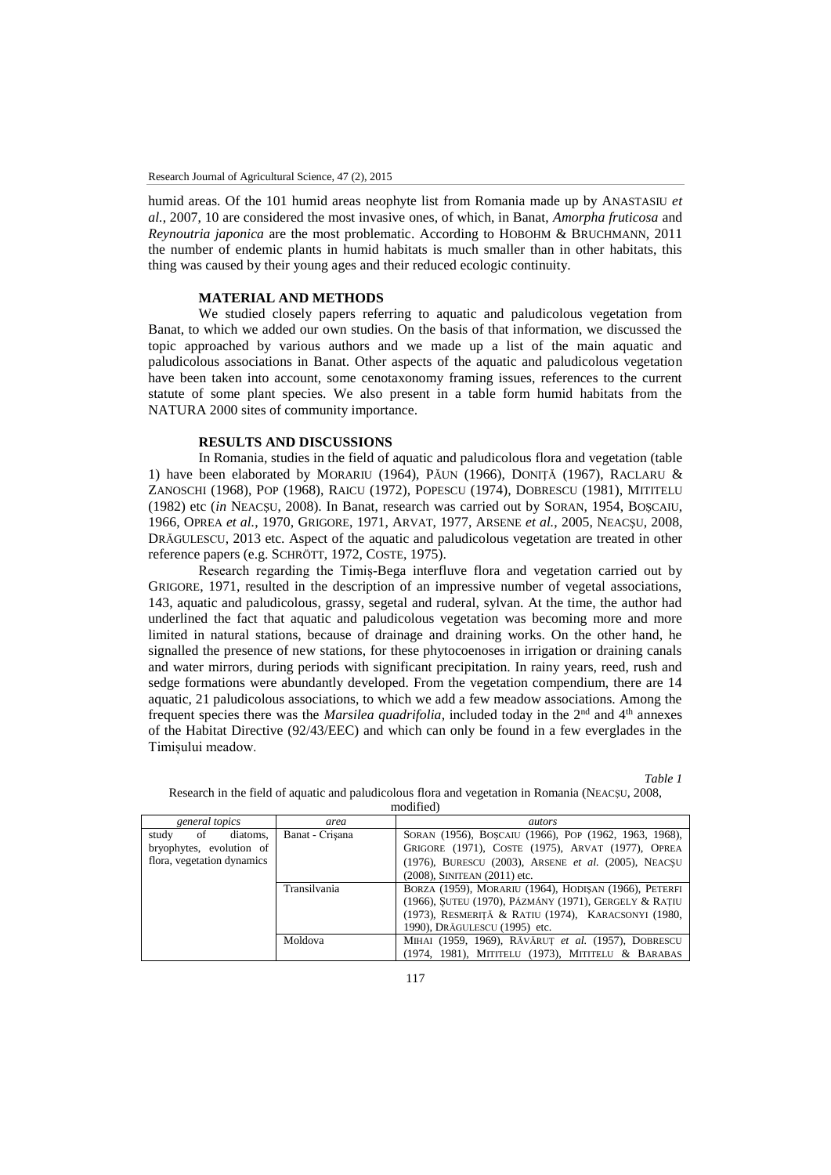humid areas. Of the 101 humid areas neophyte list from Romania made up by ANASTASIU *et al.*, 2007, 10 are considered the most invasive ones, of which, in Banat, *Amorpha fruticosa* and *Reynoutria japonica* are the most problematic. According to HOBOHM & BRUCHMANN, 2011 the number of endemic plants in humid habitats is much smaller than in other habitats, this thing was caused by their young ages and their reduced ecologic continuity.

# **MATERIAL AND METHODS**

We studied closely papers referring to aquatic and paludicolous vegetation from Banat, to which we added our own studies. On the basis of that information, we discussed the topic approached by various authors and we made up a list of the main aquatic and paludicolous associations in Banat. Other aspects of the aquatic and paludicolous vegetation have been taken into account, some cenotaxonomy framing issues, references to the current statute of some plant species. We also present in a table form humid habitats from the NATURA 2000 sites of community importance.

# **RESULTS AND DISCUSSIONS**

In Romania, studies in the field of aquatic and paludicolous flora and vegetation (table 1) have been elaborated by MORARIU (1964), PĂUN (1966), DONIŢĂ (1967), RACLARU & ZANOSCHI (1968), POP (1968), RAICU (1972), POPESCU (1974), DOBRESCU (1981), MITITELU (1982) etc (*in* NEACŞU, 2008). In Banat, research was carried out by SORAN, 1954, BOŞCAIU, 1966, OPREA *et al.*, 1970, GRIGORE, 1971, ARVAT, 1977, ARSENE *et al.*, 2005, NEACŞU, 2008, DRĂGULESCU, 2013 etc. Aspect of the aquatic and paludicolous vegetation are treated in other reference papers (e.g. SCHRÖTT, 1972, COSTE, 1975).

Research regarding the Timiș-Bega interfluve flora and vegetation carried out by GRIGORE, 1971, resulted in the description of an impressive number of vegetal associations, 143, aquatic and paludicolous, grassy, segetal and ruderal, sylvan. At the time, the author had underlined the fact that aquatic and paludicolous vegetation was becoming more and more limited in natural stations, because of drainage and draining works. On the other hand, he signalled the presence of new stations, for these phytocoenoses in irrigation or draining canals and water mirrors, during periods with significant precipitation. In rainy years, reed, rush and sedge formations were abundantly developed. From the vegetation compendium, there are 14 aquatic, 21 paludicolous associations, to which we add a few meadow associations. Among the frequent species there was the *Marsilea quadrifolia*, included today in the 2<sup>nd</sup> and 4<sup>th</sup> annexes of the Habitat Directive (92/43/EEC) and which can only be found in a few everglades in the Timișului meadow.

*Table 1* 

| general topics                  | area            | autors                                                |  |  |  |  |  |  |  |
|---------------------------------|-----------------|-------------------------------------------------------|--|--|--|--|--|--|--|
| study<br>$\circ$ of<br>diatoms. | Banat - Crisana | SORAN (1956), BOSCAIU (1966), POP (1962, 1963, 1968), |  |  |  |  |  |  |  |
| bryophytes, evolution of        |                 | GRIGORE (1971), COSTE (1975), ARVAT (1977), OPREA     |  |  |  |  |  |  |  |
| flora, vegetation dynamics      |                 | (1976), BURESCU (2003), ARSENE et al. (2005), NEACSU  |  |  |  |  |  |  |  |
|                                 |                 | $(2008)$ , SINITEAN $(2011)$ etc.                     |  |  |  |  |  |  |  |
|                                 | Transilvania    | BORZA (1959), MORARIU (1964), HODISAN (1966), PETERFI |  |  |  |  |  |  |  |
|                                 |                 | (1966), SUTEU (1970), PÁZMÁNY (1971), GERGELY & RATIU |  |  |  |  |  |  |  |
|                                 |                 | (1973), RESMERITĂ & RATIU (1974), KARACSONYI (1980,   |  |  |  |  |  |  |  |
|                                 |                 | 1990), DRĂGULESCU (1995) etc.                         |  |  |  |  |  |  |  |
|                                 | Moldova         | MIHAI (1959, 1969), RĂVĂRUT et al. (1957), DOBRESCU   |  |  |  |  |  |  |  |
|                                 |                 | (1974, 1981), MITITELU (1973), MITITELU & BARABAS     |  |  |  |  |  |  |  |

Research in the field of aquatic and paludicolous flora and vegetation in Romania (NEACŞU, 2008, modified)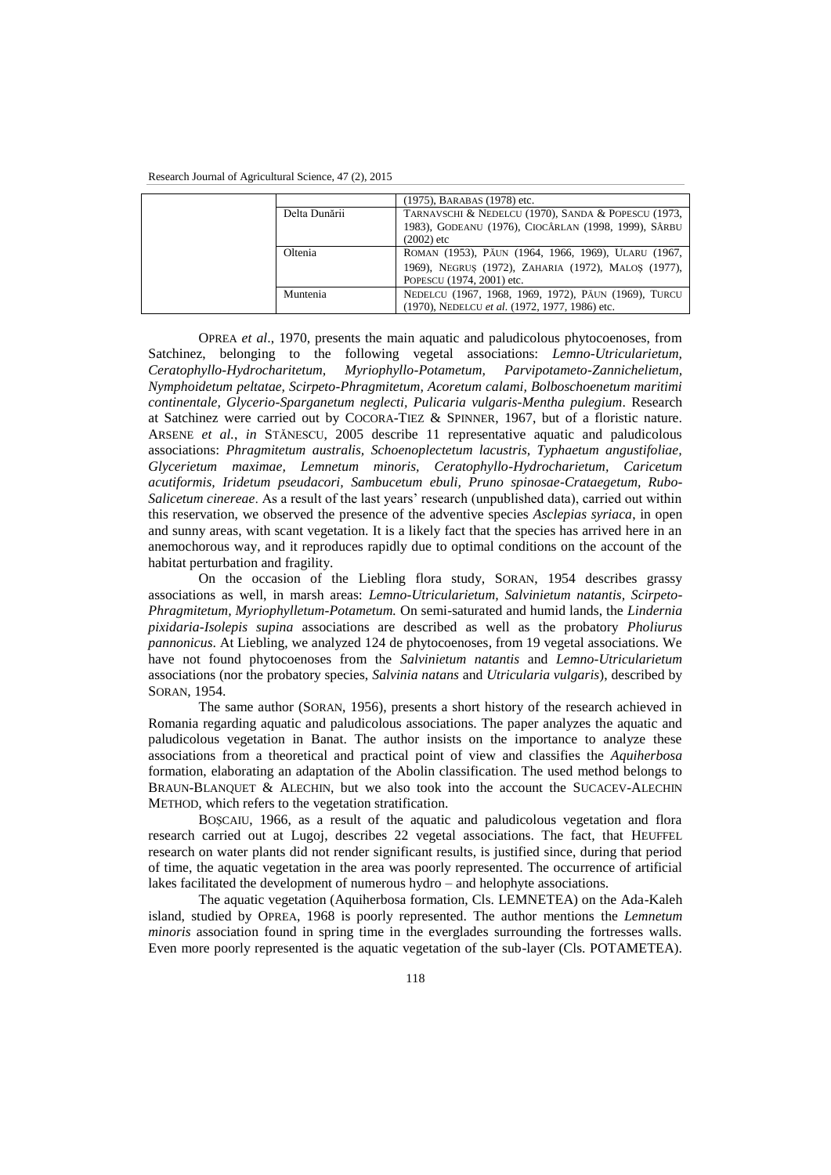|               | (1975), BARABAS (1978) etc.                                          |
|---------------|----------------------------------------------------------------------|
| Delta Dunării | TARNAVSCHI & NEDELCU (1970), SANDA & POPESCU (1973,                  |
|               | 1983), GODEANU (1976), CIOCÂRLAN (1998, 1999), SÂRBU<br>$(2002)$ etc |
| Oltenia       | ROMAN (1953), PĂUN (1964, 1966, 1969), ULARU (1967,                  |
|               | 1969), NEGRUS (1972), ZAHARIA (1972), MALOS (1977),                  |
|               | POPESCU (1974, 2001) etc.                                            |
| Muntenia      | NEDELCU (1967, 1968, 1969, 1972), PĂUN (1969), TURCU                 |
|               | (1970), NEDELCU et al. (1972, 1977, 1986) etc.                       |

OPREA *et al*., 1970, presents the main aquatic and paludicolous phytocoenoses, from Satchinez, belonging to the following vegetal associations: *Lemno-Utricularietum, Ceratophyllo-Hydrocharitetum, Myriophyllo-Potametum, Parvipotameto-Zannichelietum, Nymphoidetum peltatae, Scirpeto-Phragmitetum, Acoretum calami, Bolboschoenetum maritimi continentale, Glycerio-Sparganetum neglecti, Pulicaria vulgaris-Mentha pulegium*. Research at Satchinez were carried out by COCORA-TIEZ & SPINNER, 1967, but of a floristic nature. ARSENE *et al.*, *in* STĂNESCU, 2005 describe 11 representative aquatic and paludicolous associations: *Phragmitetum australis, Schoenoplectetum lacustris, Typhaetum angustifoliae, Glycerietum maximae, Lemnetum minoris, Ceratophyllo-Hydrocharietum, Caricetum acutiformis, Iridetum pseudacori, Sambucetum ebuli, Pruno spinosae-Crataegetum, Rubo-Salicetum cinereae*. As a result of the last years' research (unpublished data), carried out within this reservation, we observed the presence of the adventive species *Asclepias syriaca*, in open and sunny areas, with scant vegetation. It is a likely fact that the species has arrived here in an anemochorous way, and it reproduces rapidly due to optimal conditions on the account of the habitat perturbation and fragility.

On the occasion of the Liebling flora study, SORAN, 1954 describes grassy associations as well, in marsh areas: *Lemno-Utricularietum, Salvinietum natantis, Scirpeto-Phragmitetum, Myriophylletum-Potametum.* On semi-saturated and humid lands, the *Lindernia pixidaria-Isolepis supina* associations are described as well as the probatory *Pholiurus pannonicus*. At Liebling, we analyzed 124 de phytocoenoses, from 19 vegetal associations. We have not found phytocoenoses from the *Salvinietum natantis* and *Lemno-Utricularietum* associations (nor the probatory species, *Salvinia natans* and *Utricularia vulgaris*), described by SORAN, 1954.

The same author (SORAN, 1956), presents a short history of the research achieved in Romania regarding aquatic and paludicolous associations. The paper analyzes the aquatic and paludicolous vegetation in Banat. The author insists on the importance to analyze these associations from a theoretical and practical point of view and classifies the *Aquiherbosa*  formation, elaborating an adaptation of the Abolin classification. The used method belongs to BRAUN-BLANQUET & ALECHIN, but we also took into the account the SUCACEV-ALECHIN METHOD, which refers to the vegetation stratification.

BOŞCAIU, 1966, as a result of the aquatic and paludicolous vegetation and flora research carried out at Lugoj, describes 22 vegetal associations. The fact, that HEUFFEL research on water plants did not render significant results, is justified since, during that period of time, the aquatic vegetation in the area was poorly represented. The occurrence of artificial lakes facilitated the development of numerous hydro – and helophyte associations.

The aquatic vegetation (Aquiherbosa formation, Cls. LEMNETEA) on the Ada-Kaleh island, studied by OPREA, 1968 is poorly represented. The author mentions the *Lemnetum minoris* association found in spring time in the everglades surrounding the fortresses walls. Even more poorly represented is the aquatic vegetation of the sub-layer (Cls. POTAMETEA).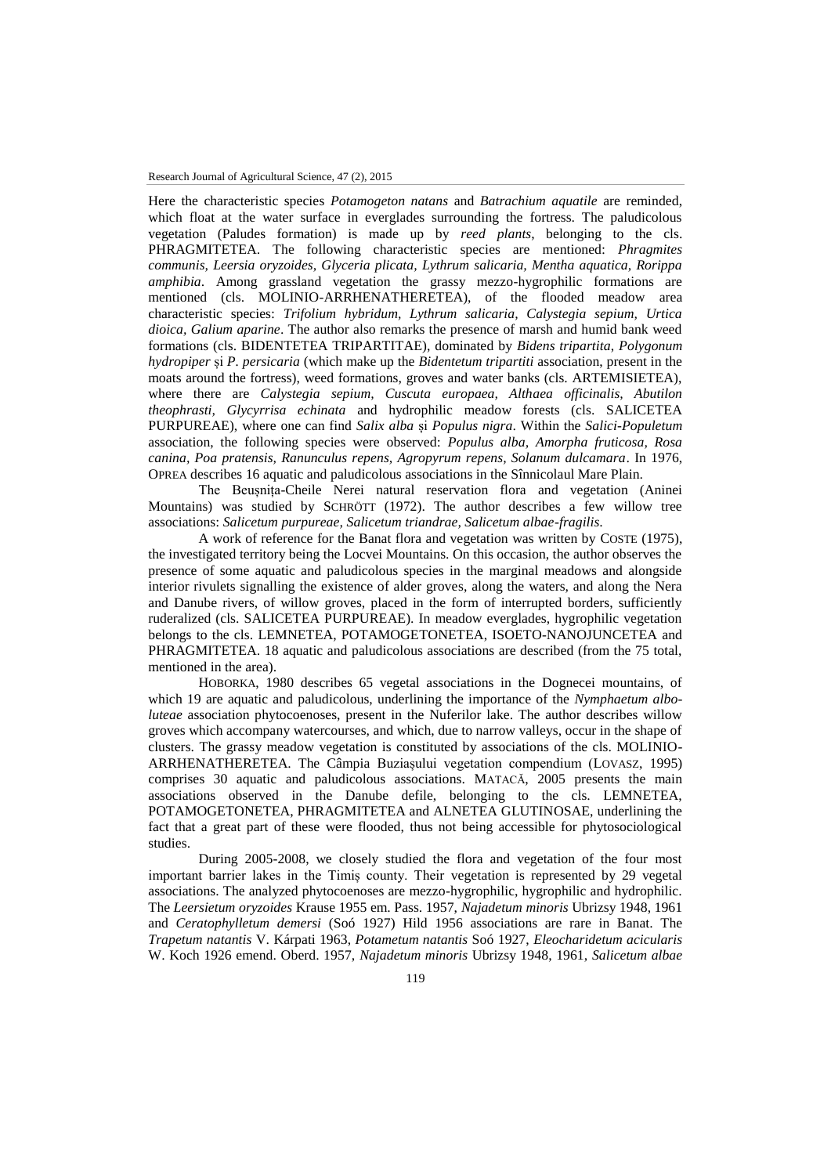Here the characteristic species *Potamogeton natans* and *Batrachium aquatile* are reminded, which float at the water surface in everglades surrounding the fortress. The paludicolous vegetation (Paludes formation) is made up by *reed plants*, belonging to the cls. PHRAGMITETEA. The following characteristic species are mentioned: *Phragmites communis, Leersia oryzoides, Glyceria plicata, Lythrum salicaria, Mentha aquatica, Rorippa amphibia*. Among grassland vegetation the grassy mezzo-hygrophilic formations are mentioned (cls. MOLINIO-ARRHENATHERETEA), of the flooded meadow area characteristic species: *Trifolium hybridum, Lythrum salicaria, Calystegia sepium, Urtica dioica, Galium aparine*. The author also remarks the presence of marsh and humid bank weed formations (cls. BIDENTETEA TRIPARTITAE), dominated by *Bidens tripartita*, *Polygonum hydropiper* și *P. persicaria* (which make up the *Bidentetum tripartiti* association, present in the moats around the fortress), weed formations, groves and water banks (cls. ARTEMISIETEA), where there are *Calystegia sepium, Cuscuta europaea, Althaea officinalis, Abutilon theophrasti, Glycyrrisa echinata* and hydrophilic meadow forests (cls. SALICETEA PURPUREAE), where one can find *Salix alba* și *Populus nigra*. Within the *Salici-Populetum* association, the following species were observed: *Populus alba, Amorpha fruticosa, Rosa canina, Poa pratensis, Ranunculus repens, Agropyrum repens, Solanum dulcamara*. In 1976, OPREA describes 16 aquatic and paludicolous associations in the Sînnicolaul Mare Plain.

The Beușnița-Cheile Nerei natural reservation flora and vegetation (Aninei Mountains) was studied by SCHRÖTT (1972). The author describes a few willow tree associations: *Salicetum purpureae, Salicetum triandrae, Salicetum albae-fragilis*.

A work of reference for the Banat flora and vegetation was written by COSTE (1975), the investigated territory being the Locvei Mountains. On this occasion, the author observes the presence of some aquatic and paludicolous species in the marginal meadows and alongside interior rivulets signalling the existence of alder groves, along the waters, and along the Nera and Danube rivers, of willow groves, placed in the form of interrupted borders, sufficiently ruderalized (cls. SALICETEA PURPUREAE). In meadow everglades, hygrophilic vegetation belongs to the cls. LEMNETEA, POTAMOGETONETEA, ISOETO-NANOJUNCETEA and PHRAGMITETEA. 18 aquatic and paludicolous associations are described (from the 75 total, mentioned in the area).

HOBORKA, 1980 describes 65 vegetal associations in the Dognecei mountains, of which 19 are aquatic and paludicolous, underlining the importance of the *Nymphaetum alboluteae* association phytocoenoses, present in the Nuferilor lake. The author describes willow groves which accompany watercourses, and which, due to narrow valleys, occur in the shape of clusters. The grassy meadow vegetation is constituted by associations of the cls. MOLINIO-ARRHENATHERETEA. The Câmpia Buziașului vegetation compendium (LOVASZ, 1995) comprises 30 aquatic and paludicolous associations. MATACĂ, 2005 presents the main associations observed in the Danube defile, belonging to the cls. LEMNETEA, POTAMOGETONETEA, PHRAGMITETEA and ALNETEA GLUTINOSAE, underlining the fact that a great part of these were flooded, thus not being accessible for phytosociological studies.

During 2005-2008, we closely studied the flora and vegetation of the four most important barrier lakes in the Timiș county. Their vegetation is represented by 29 vegetal associations. The analyzed phytocoenoses are mezzo-hygrophilic, hygrophilic and hydrophilic. The *Leersietum oryzoides* Krause 1955 em. Pass. 1957, *Najadetum minoris* Ubrizsy 1948, 1961 and *Ceratophylletum demersi* (Soó 1927) Hild 1956 associations are rare in Banat. The *Trapetum natantis* V. Kárpati 1963, *Potametum natantis* Soó 1927, *Eleocharidetum acicularis* W. Koch 1926 emend. Oberd. 1957, *Najadetum minoris* Ubrizsy 1948, 1961, *Salicetum albae*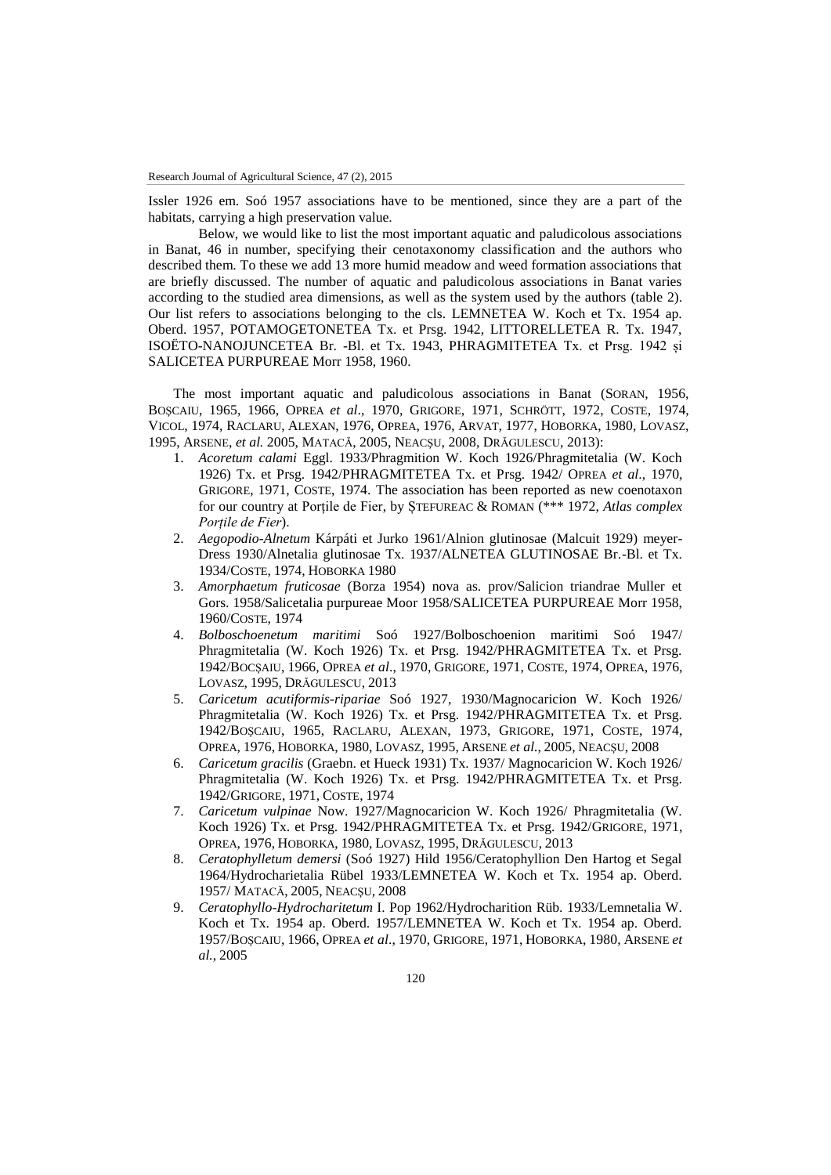Issler 1926 em. Soó 1957 associations have to be mentioned, since they are a part of the habitats, carrying a high preservation value.

Below, we would like to list the most important aquatic and paludicolous associations in Banat, 46 in number, specifying their cenotaxonomy classification and the authors who described them. To these we add 13 more humid meadow and weed formation associations that are briefly discussed. The number of aquatic and paludicolous associations in Banat varies according to the studied area dimensions, as well as the system used by the authors (table 2). Our list refers to associations belonging to the cls. LEMNETEA W. Koch et Tx. 1954 ap. Oberd. 1957, POTAMOGETONETEA Tx. et Prsg. 1942, LITTORELLETEA R. Tx. 1947, ISOËTO-NANOJUNCETEA Br. -Bl. et Tx. 1943, PHRAGMITETEA Tx. et Prsg. 1942 și SALICETEA PURPUREAE Morr 1958, 1960.

The most important aquatic and paludicolous associations in Banat (SORAN, 1956, BOŞCAIU, 1965, 1966, OPREA *et al*., 1970, GRIGORE, 1971, SCHRÖTT, 1972, COSTE, 1974, VICOL, 1974, RACLARU, ALEXAN, 1976, OPREA, 1976, ARVAT, 1977, HOBORKA, 1980, LOVASZ, 1995, ARSENE, *et al.* 2005, MATACĂ, 2005, NEACŞU, 2008, DRĂGULESCU, 2013):

- 1. *Acoretum calami* Eggl. 1933/Phragmition W. Koch 1926/Phragmitetalia (W. Koch 1926) Tx. et Prsg. 1942/PHRAGMITETEA Tx. et Prsg. 1942/ OPREA *et al*., 1970, GRIGORE, 1971, COSTE, 1974. The association has been reported as new coenotaxon for our country at Porțile de Fier, by ȘTEFUREAC & ROMAN (\*\*\* 1972, *Atlas complex Porțile de Fier*).
- 2. *Aegopodio-Alnetum* Kárpáti et Jurko 1961/Alnion glutinosae (Malcuit 1929) meyer-Dress 1930/Alnetalia glutinosae Tx. 1937/ALNETEA GLUTINOSAE Br.-Bl. et Tx. 1934/COSTE, 1974, HOBORKA 1980
- 3. *Amorphaetum fruticosae* (Borza 1954) nova as. prov/Salicion triandrae Muller et Gors. 1958/Salicetalia purpureae Moor 1958/SALICETEA PURPUREAE Morr 1958, 1960/COSTE, 1974
- 4. *Bolboschoenetum maritimi* Soó 1927/Bolboschoenion maritimi Soó 1947/ Phragmitetalia (W. Koch 1926) Tx. et Prsg. 1942/PHRAGMITETEA Tx. et Prsg. 1942/BOCŞAIU, 1966, OPREA *et al*., 1970, GRIGORE, 1971, COSTE, 1974, OPREA, 1976, LOVASZ, 1995, DRĂGULESCU, 2013
- 5. *Caricetum acutiformis-ripariae* Soó 1927, 1930/Magnocaricion W. Koch 1926/ Phragmitetalia (W. Koch 1926) Tx. et Prsg. 1942/PHRAGMITETEA Tx. et Prsg. 1942/BOŞCAIU, 1965, RACLARU, ALEXAN, 1973, GRIGORE, 1971, COSTE, 1974, OPREA, 1976, HOBORKA, 1980, LOVASZ, 1995, ARSENE *et al.*, 2005, NEACŞU, 2008
- 6. *Caricetum gracilis* (Graebn. et Hueck 1931) Tx. 1937/ Magnocaricion W. Koch 1926/ Phragmitetalia (W. Koch 1926) Tx. et Prsg. 1942/PHRAGMITETEA Tx. et Prsg. 1942/GRIGORE, 1971, COSTE, 1974
- 7. *Caricetum vulpinae* Now. 1927/Magnocaricion W. Koch 1926/ Phragmitetalia (W. Koch 1926) Tx. et Prsg. 1942/PHRAGMITETEA Tx. et Prsg. 1942/GRIGORE, 1971, OPREA, 1976, HOBORKA, 1980, LOVASZ, 1995, DRĂGULESCU, 2013
- 8. *Ceratophylletum demersi* (Soó 1927) Hild 1956/Ceratophyllion Den Hartog et Segal 1964/Hydrocharietalia Rübel 1933/LEMNETEA W. Koch et Tx. 1954 ap. Oberd. 1957/ MATACĂ, 2005, NEACŞU, 2008
- 9. *Ceratophyllo-Hydrocharitetum* I. Pop 1962/Hydrocharition Rüb. 1933/Lemnetalia W. Koch et Tx. 1954 ap. Oberd. 1957/LEMNETEA W. Koch et Tx. 1954 ap. Oberd. 1957/BOŞCAIU, 1966, OPREA *et al*., 1970, GRIGORE, 1971, HOBORKA, 1980, ARSENE *et al.*, 2005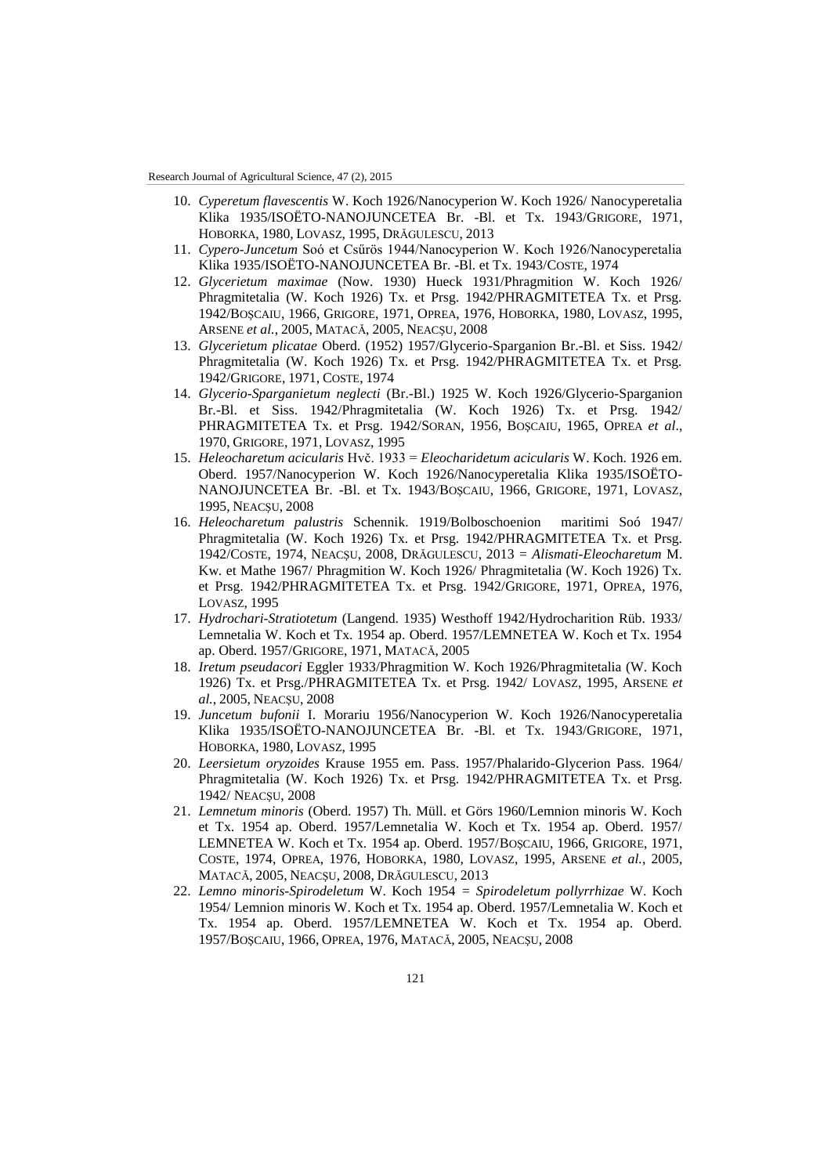- 10. *Cyperetum flavescentis* W. Koch 1926/Nanocyperion W. Koch 1926/ Nanocyperetalia Klika 1935/ISOËTO-NANOJUNCETEA Br. -Bl. et Tx. 1943/GRIGORE, 1971, HOBORKA, 1980, LOVASZ, 1995, DRĂGULESCU, 2013
- 11. *Cypero-Juncetum* Soó et Csűrös 1944/Nanocyperion W. Koch 1926/Nanocyperetalia Klika 1935/ISOËTO-NANOJUNCETEA Br. -Bl. et Tx. 1943/COSTE, 1974
- 12. *Glycerietum maximae* (Now. 1930) Hueck 1931/Phragmition W. Koch 1926/ Phragmitetalia (W. Koch 1926) Tx. et Prsg. 1942/PHRAGMITETEA Tx. et Prsg. 1942/BOŞCAIU, 1966, GRIGORE, 1971, OPREA, 1976, HOBORKA, 1980, LOVASZ, 1995, ARSENE *et al.*, 2005, MATACĂ, 2005, NEACŞU, 2008
- 13. *Glycerietum plicatae* Oberd. (1952) 1957/Glycerio-Sparganion Br.-Bl. et Siss. 1942/ Phragmitetalia (W. Koch 1926) Tx. et Prsg. 1942/PHRAGMITETEA Tx. et Prsg. 1942/GRIGORE, 1971, COSTE, 1974
- 14. *Glycerio-Sparganietum neglecti* (Br.-Bl.) 1925 W. Koch 1926/Glycerio-Sparganion Br.-Bl. et Siss. 1942/Phragmitetalia (W. Koch 1926) Tx. et Prsg. 1942/ PHRAGMITETEA Tx. et Prsg. 1942/SORAN, 1956, BOŞCAIU, 1965, OPREA *et al*., 1970, GRIGORE, 1971, LOVASZ, 1995
- 15. *Heleocharetum acicularis* Hvč. 1933 = *Eleocharidetum acicularis* W. Koch. 1926 em. Oberd. 1957/Nanocyperion W. Koch 1926/Nanocyperetalia Klika 1935/ISOËTO-NANOJUNCETEA Br. -Bl. et Tx. 1943/BOŞCAIU, 1966, GRIGORE, 1971, LOVASZ, 1995, NEACŞU, 2008
- 16. *Heleocharetum palustris* Schennik. 1919/Bolboschoenion maritimi Soó 1947/ Phragmitetalia (W. Koch 1926) Tx. et Prsg. 1942/PHRAGMITETEA Tx. et Prsg. 1942/COSTE, 1974, NEACŞU, 2008, DRĂGULESCU, 2013 = *Alismati-Eleocharetum* M. Kw. et Mathe 1967/ Phragmition W. Koch 1926/ Phragmitetalia (W. Koch 1926) Tx. et Prsg. 1942/PHRAGMITETEA Tx. et Prsg. 1942/GRIGORE, 1971, OPREA, 1976, LOVASZ, 1995
- 17. *Hydrochari-Stratiotetum* (Langend. 1935) Westhoff 1942/Hydrocharition Rüb. 1933/ Lemnetalia W. Koch et Tx. 1954 ap. Oberd. 1957/LEMNETEA W. Koch et Tx. 1954 ap. Oberd. 1957/GRIGORE, 1971, MATACĂ, 2005
- 18. *Iretum pseudacori* Eggler 1933/Phragmition W. Koch 1926/Phragmitetalia (W. Koch 1926) Tx. et Prsg./PHRAGMITETEA Tx. et Prsg. 1942/ LOVASZ, 1995, ARSENE *et al.*, 2005, NEACŞU, 2008
- 19. *Juncetum bufonii* I. Morariu 1956/Nanocyperion W. Koch 1926/Nanocyperetalia Klika 1935/ISOËTO-NANOJUNCETEA Br. -Bl. et Tx. 1943/GRIGORE, 1971, HOBORKA, 1980, LOVASZ, 1995
- 20. *Leersietum oryzoides* Krause 1955 em. Pass. 1957/Phalarido-Glycerion Pass. 1964/ Phragmitetalia (W. Koch 1926) Tx. et Prsg. 1942/PHRAGMITETEA Tx. et Prsg. 1942/ NEACŞU, 2008
- 21. *Lemnetum minoris* (Oberd. 1957) Th. Müll. et Görs 1960/Lemnion minoris W. Koch et Tx. 1954 ap. Oberd. 1957/Lemnetalia W. Koch et Tx. 1954 ap. Oberd. 1957/ LEMNETEA W. Koch et Tx. 1954 ap. Oberd. 1957/BOŞCAIU, 1966, GRIGORE, 1971, COSTE, 1974, OPREA, 1976, HOBORKA, 1980, LOVASZ, 1995, ARSENE *et al.*, 2005, MATACĂ, 2005, NEACŞU, 2008, DRĂGULESCU, 2013
- 22. *Lemno minoris-Spirodeletum* W. Koch 1954 *= Spirodeletum pollyrrhizae* W. Koch 1954/ Lemnion minoris W. Koch et Tx. 1954 ap. Oberd. 1957/Lemnetalia W. Koch et Tx. 1954 ap. Oberd. 1957/LEMNETEA W. Koch et Tx. 1954 ap. Oberd. 1957/BOŞCAIU, 1966, OPREA, 1976, MATACĂ, 2005, NEACŞU, 2008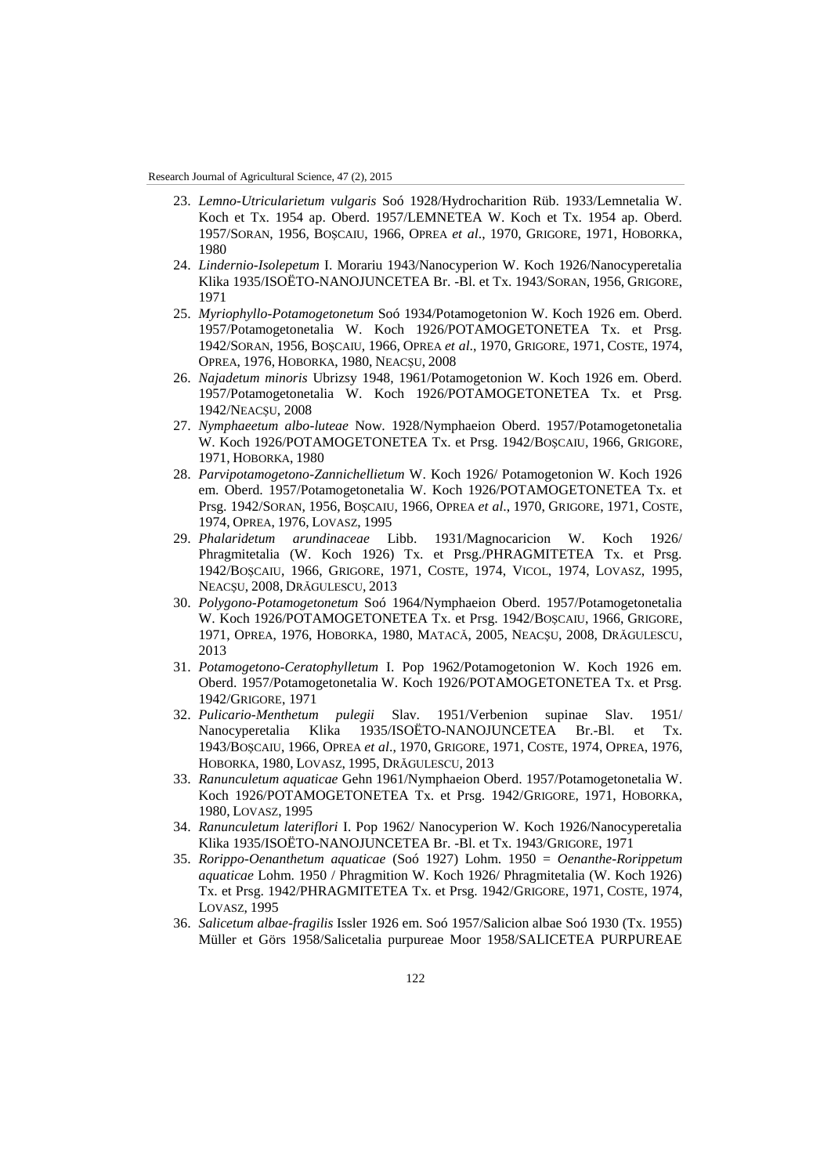- 23. *Lemno-Utricularietum vulgaris* Soó 1928/Hydrocharition Rüb. 1933/Lemnetalia W. Koch et Tx. 1954 ap. Oberd. 1957/LEMNETEA W. Koch et Tx. 1954 ap. Oberd. 1957/SORAN, 1956, BOŞCAIU, 1966, OPREA *et al*., 1970, GRIGORE, 1971, HOBORKA, 1980
- 24. *Lindernio-Isolepetum* I. Morariu 1943/Nanocyperion W. Koch 1926/Nanocyperetalia Klika 1935/ISOËTO-NANOJUNCETEA Br. -Bl. et Tx. 1943/SORAN, 1956, GRIGORE, 1971
- 25. *Myriophyllo-Potamogetonetum* Soó 1934/Potamogetonion W. Koch 1926 em. Oberd. 1957/Potamogetonetalia W. Koch 1926/POTAMOGETONETEA Tx. et Prsg. 1942/SORAN, 1956, BOŞCAIU, 1966, OPREA *et al*., 1970, GRIGORE, 1971, COSTE, 1974, OPREA, 1976, HOBORKA, 1980, NEACŞU, 2008
- 26. *Najadetum minoris* Ubrizsy 1948, 1961/Potamogetonion W. Koch 1926 em. Oberd. 1957/Potamogetonetalia W. Koch 1926/POTAMOGETONETEA Tx. et Prsg. 1942/NEACŞU, 2008
- 27. *Nymphaeetum albo-luteae* Now. 1928/Nymphaeion Oberd. 1957/Potamogetonetalia W. Koch 1926/POTAMOGETONETEA Tx. et Prsg. 1942/BOŞCAIU, 1966, GRIGORE, 1971, HOBORKA, 1980
- 28. *Parvipotamogetono-Zannichellietum* W. Koch 1926/ Potamogetonion W. Koch 1926 em. Oberd. 1957/Potamogetonetalia W. Koch 1926/POTAMOGETONETEA Tx. et Prsg. 1942/SORAN, 1956, BOŞCAIU, 1966, OPREA *et al*., 1970, GRIGORE, 1971, COSTE, 1974, OPREA, 1976, LOVASZ, 1995
- 29. *Phalaridetum arundinaceae* Libb. 1931/Magnocaricion W. Koch 1926/ Phragmitetalia (W. Koch 1926) Tx. et Prsg./PHRAGMITETEA Tx. et Prsg. 1942/BOŞCAIU, 1966, GRIGORE, 1971, COSTE, 1974, VICOL, 1974, LOVASZ, 1995, NEACŞU, 2008, DRĂGULESCU, 2013
- 30. *Polygono-Potamogetonetum* Soó 1964/Nymphaeion Oberd. 1957/Potamogetonetalia W. Koch 1926/POTAMOGETONETEA Tx. et Prsg. 1942/BOŞCAIU, 1966, GRIGORE, 1971, OPREA, 1976, HOBORKA, 1980, MATACĂ, 2005, NEACŞU, 2008, DRĂGULESCU, 2013
- 31. *Potamogetono-Ceratophylletum* I. Pop 1962/Potamogetonion W. Koch 1926 em. Oberd. 1957/Potamogetonetalia W. Koch 1926/POTAMOGETONETEA Tx. et Prsg. 1942/GRIGORE, 1971
- 32. *Pulicario-Menthetum pulegii* Slav. 1951/Verbenion supinae Slav. 1951/ Nanocyperetalia Klika 1935/ISOËTO-NANOJUNCETEA Br.-Bl. et Tx. 1943/BOŞCAIU, 1966, OPREA *et al*., 1970, GRIGORE, 1971, COSTE, 1974, OPREA, 1976, HOBORKA, 1980, LOVASZ, 1995, DRĂGULESCU, 2013
- 33. *Ranunculetum aquaticae* Gehn 1961/Nymphaeion Oberd. 1957/Potamogetonetalia W. Koch 1926/POTAMOGETONETEA Tx. et Prsg. 1942/GRIGORE, 1971, HOBORKA, 1980, LOVASZ, 1995
- 34. *Ranunculetum lateriflori* I. Pop 1962/ Nanocyperion W. Koch 1926/Nanocyperetalia Klika 1935/ISOËTO-NANOJUNCETEA Br. -Bl. et Tx. 1943/GRIGORE, 1971
- 35. *Rorippo-Oenanthetum aquaticae* (Soó 1927) Lohm. 1950 = *Oenanthe-Rorippetum aquaticae* Lohm. 1950 / Phragmition W. Koch 1926/ Phragmitetalia (W. Koch 1926) Tx. et Prsg. 1942/PHRAGMITETEA Tx. et Prsg. 1942/GRIGORE, 1971, COSTE, 1974, LOVASZ, 1995
- 36. *Salicetum albae-fragilis* Issler 1926 em. Soó 1957/Salicion albae Soó 1930 (Tx. 1955) Müller et Görs 1958/Salicetalia purpureae Moor 1958/SALICETEA PURPUREAE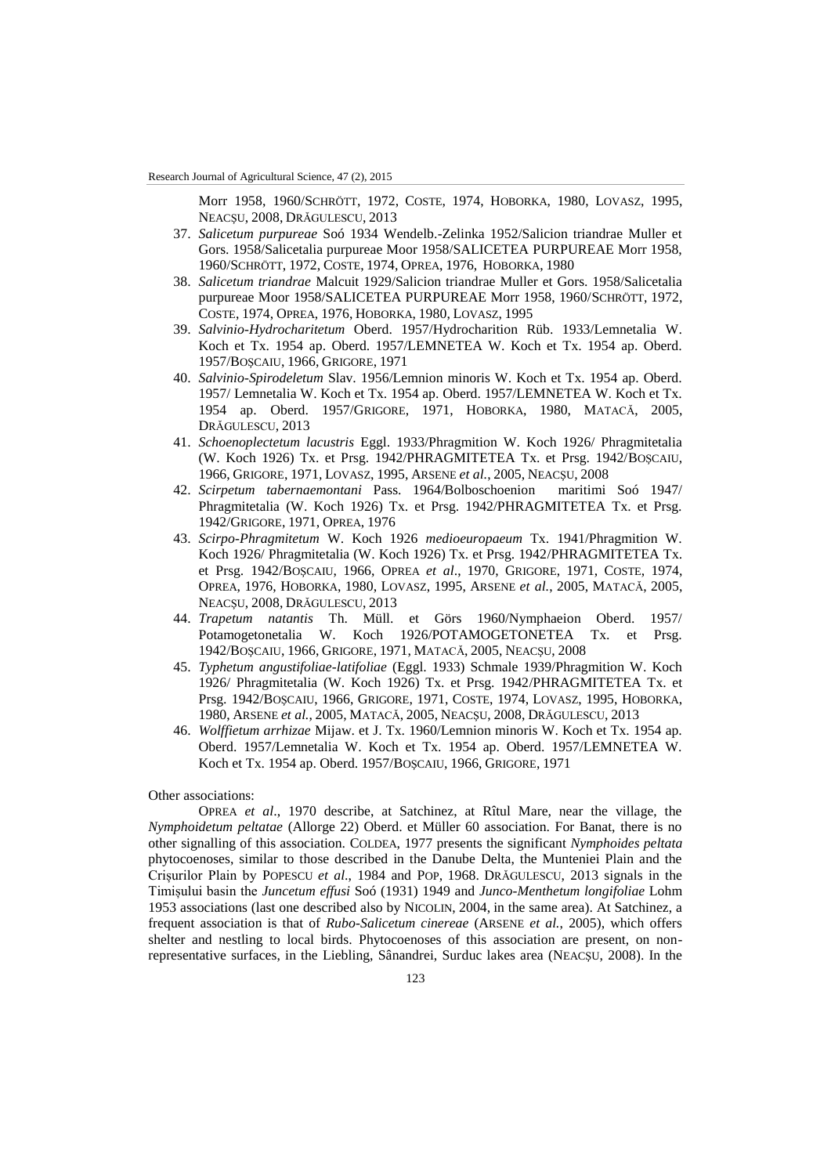Morr 1958, 1960/SCHRÖTT, 1972, COSTE, 1974, HOBORKA, 1980, LOVASZ, 1995, NEACŞU, 2008, DRĂGULESCU, 2013

- 37. *Salicetum purpureae* Soó 1934 Wendelb.-Zelinka 1952/Salicion triandrae Muller et Gors. 1958/Salicetalia purpureae Moor 1958/SALICETEA PURPUREAE Morr 1958, 1960/SCHRÖTT, 1972, COSTE, 1974, OPREA, 1976, HOBORKA, 1980
- 38. *Salicetum triandrae* Malcuit 1929/Salicion triandrae Muller et Gors. 1958/Salicetalia purpureae Moor 1958/SALICETEA PURPUREAE Morr 1958, 1960/SCHRÖTT, 1972, COSTE, 1974, OPREA, 1976, HOBORKA, 1980, LOVASZ, 1995
- 39. *Salvinio-Hydrocharitetum* Oberd. 1957/Hydrocharition Rüb. 1933/Lemnetalia W. Koch et Tx. 1954 ap. Oberd. 1957/LEMNETEA W. Koch et Tx. 1954 ap. Oberd. 1957/BOŞCAIU, 1966, GRIGORE, 1971
- 40. *Salvinio-Spirodeletum* Slav. 1956/Lemnion minoris W. Koch et Tx. 1954 ap. Oberd. 1957/ Lemnetalia W. Koch et Tx. 1954 ap. Oberd. 1957/LEMNETEA W. Koch et Tx. 1954 ap. Oberd. 1957/GRIGORE, 1971, HOBORKA, 1980, MATACĂ, 2005, DRĂGULESCU, 2013
- 41. *Schoenoplectetum lacustris* Eggl. 1933/Phragmition W. Koch 1926/ Phragmitetalia (W. Koch 1926) Tx. et Prsg. 1942/PHRAGMITETEA Tx. et Prsg. 1942/BOŞCAIU, 1966, GRIGORE, 1971, LOVASZ, 1995, ARSENE *et al.*, 2005, NEACŞU, 2008
- 42. *Scirpetum tabernaemontani* Pass. 1964/Bolboschoenion maritimi Soó 1947/ Phragmitetalia (W. Koch 1926) Tx. et Prsg. 1942/PHRAGMITETEA Tx. et Prsg. 1942/GRIGORE, 1971, OPREA, 1976
- 43. *Scirpo-Phragmitetum* W. Koch 1926 *medioeuropaeum* Tx. 1941/Phragmition W. Koch 1926/ Phragmitetalia (W. Koch 1926) Tx. et Prsg. 1942/PHRAGMITETEA Tx. et Prsg. 1942/BOŞCAIU, 1966, OPREA *et al*., 1970, GRIGORE, 1971, COSTE, 1974, OPREA, 1976, HOBORKA, 1980, LOVASZ, 1995, ARSENE *et al.*, 2005, MATACĂ, 2005, NEACŞU, 2008, DRĂGULESCU, 2013
- 44. *Trapetum natantis* Th. Müll. et Görs 1960/Nymphaeion Oberd. 1957/ Potamogetonetalia W. Koch 1926/POTAMOGETONETEA Tx. et Prsg. 1942/BOŞCAIU, 1966, GRIGORE, 1971, MATACĂ, 2005, NEACŞU, 2008
- 45. *Typhetum angustifoliae-latifoliae* (Eggl. 1933) Schmale 1939/Phragmition W. Koch 1926/ Phragmitetalia (W. Koch 1926) Tx. et Prsg. 1942/PHRAGMITETEA Tx. et Prsg. 1942/BOŞCAIU, 1966, GRIGORE, 1971, COSTE, 1974, LOVASZ, 1995, HOBORKA, 1980, ARSENE *et al.*, 2005, MATACĂ, 2005, NEACŞU, 2008, DRĂGULESCU, 2013
- 46. *Wolffietum arrhizae* Mijaw. et J. Tx. 1960/Lemnion minoris W. Koch et Tx. 1954 ap. Oberd. 1957/Lemnetalia W. Koch et Tx. 1954 ap. Oberd. 1957/LEMNETEA W. Koch et Tx. 1954 ap. Oberd. 1957/BOŞCAIU, 1966, GRIGORE, 1971

### Other associations:

OPREA *et al*., 1970 describe, at Satchinez, at Rîtul Mare, near the village, the *Nymphoidetum peltatae* (Allorge 22) Oberd. et Müller 60 association. For Banat, there is no other signalling of this association. COLDEA, 1977 presents the significant *Nymphoides peltata* phytocoenoses, similar to those described in the Danube Delta, the Munteniei Plain and the Crișurilor Plain by POPESCU *et al*., 1984 and POP, 1968. DRĂGULESCU, 2013 signals in the Timișului basin the *Juncetum effusi* Soó (1931) 1949 and *Junco-Menthetum longifoliae* Lohm 1953 associations (last one described also by NICOLIN, 2004, in the same area). At Satchinez, a frequent association is that of *Rubo-Salicetum cinereae* (ARSENE *et al.*, 2005), which offers shelter and nestling to local birds. Phytocoenoses of this association are present, on nonrepresentative surfaces, in the Liebling, Sânandrei, Surduc lakes area (NEACŞU, 2008). In the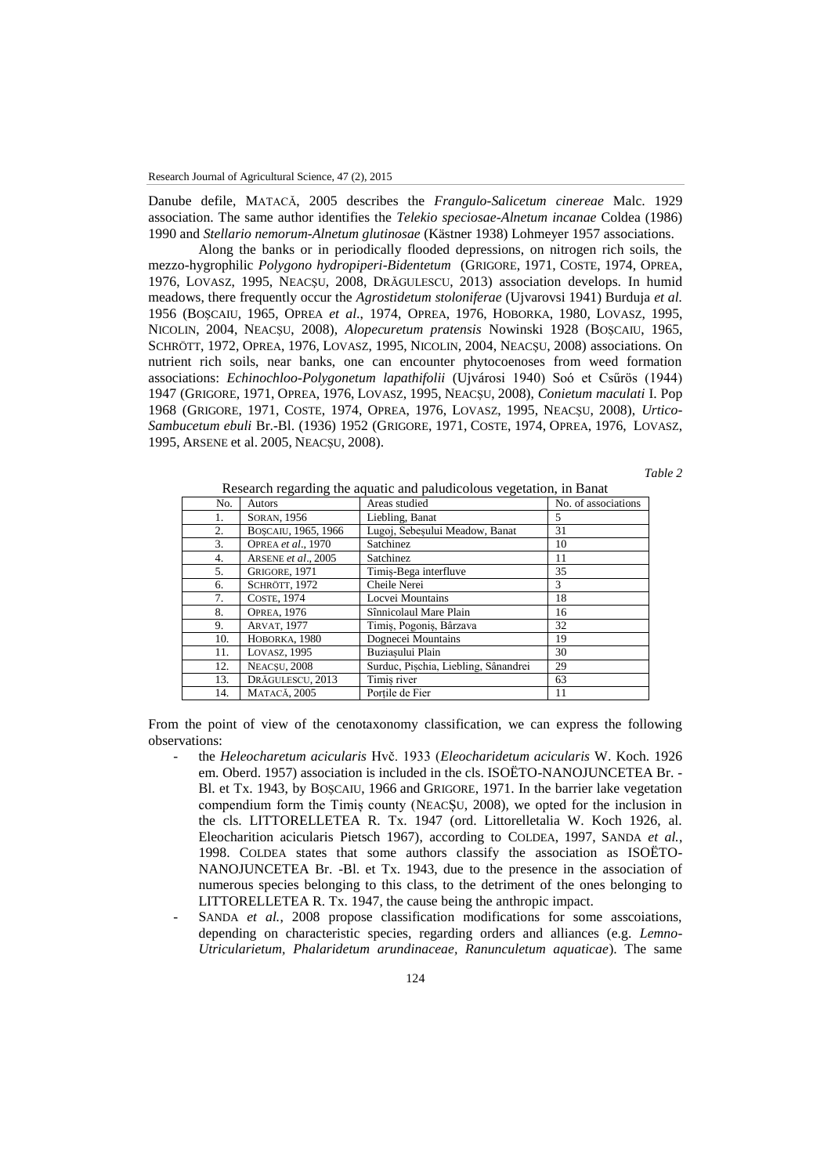Danube defile, MATACĂ, 2005 describes the *Frangulo-Salicetum cinereae* Malc. 1929 association. The same author identifies the *Telekio speciosae-Alnetum incanae* Coldea (1986) 1990 and *Stellario nemorum-Alnetum glutinosae* (Kästner 1938) Lohmeyer 1957 associations.

Along the banks or in periodically flooded depressions, on nitrogen rich soils, the mezzo-hygrophilic *Polygono hydropiperi-Bidentetum* (GRIGORE, 1971, COSTE, 1974, OPREA, 1976, LOVASZ, 1995, NEACŞU, 2008, DRĂGULESCU, 2013) association develops. In humid meadows, there frequently occur the *Agrostidetum stoloniferae* (Ujvarovsi 1941) Burduja *et al.* 1956 (BOŞCAIU, 1965, OPREA *et al*., 1974, OPREA, 1976, HOBORKA, 1980, LOVASZ, 1995, NICOLIN, 2004, NEACŞU, 2008), *Alopecuretum pratensis* Nowinski 1928 (BOŞCAIU, 1965, SCHRÖTT, 1972, OPREA, 1976, LOVASZ, 1995, NICOLIN, 2004, NEACŞU, 2008) associations. On nutrient rich soils, near banks, one can encounter phytocoenoses from weed formation associations: *Echinochloo-Polygonetum lapathifolii* (Ujvárosi 1940) Soó et Csűrös (1944) 1947 (GRIGORE, 1971, OPREA, 1976, LOVASZ, 1995, NEACŞU, 2008), *Conietum maculati* I. Pop 1968 (GRIGORE, 1971, COSTE, 1974, OPREA, 1976, LOVASZ, 1995, NEACŞU, 2008), *Urtico-Sambucetum ebuli* Br.-Bl. (1936) 1952 (GRIGORE, 1971, COSTE, 1974, OPREA, 1976, LOVASZ, 1995, ARSENE et al. 2005, NEACŞU, 2008).

# *Table 2*

| No. | Autors              | research regarding the aquatic and paradicolous vegetation, in Banac<br>Areas studied | No. of associations |
|-----|---------------------|---------------------------------------------------------------------------------------|---------------------|
| 1.  | SORAN, 1956         | Liebling, Banat                                                                       | 5                   |
| 2.  | BOSCAIU, 1965, 1966 | Lugoj, Sebesului Meadow, Banat                                                        | 31                  |
| 3.  | OPREA et al., 1970  | Satchinez                                                                             | 10                  |
| 4.  | ARSENE et al., 2005 | Satchinez                                                                             | 11                  |
| 5.  | GRIGORE, 1971       | Timis-Bega interfluve                                                                 | 35                  |
| 6.  | SCHRÖTT, 1972       | Cheile Nerei                                                                          | 3                   |
| 7.  | <b>COSTE, 1974</b>  | Locvei Mountains                                                                      | 18                  |
| 8.  | <b>OPREA, 1976</b>  | Sînnicolaul Mare Plain                                                                | 16                  |
| 9.  | <b>ARVAT, 1977</b>  | Timis, Pogonis, Bârzava                                                               | 32                  |
| 10. | HOBORKA, 1980       | Dognecei Mountains                                                                    | 19                  |
| 11. | LOVASZ, 1995        | Buziasului Plain                                                                      | 30                  |
| 12. | NEACSU, 2008        | Surduc, Pischia, Liebling, Sânandrei                                                  | 29                  |
| 13. | DRĂGULESCU, 2013    | Timis river                                                                           | 63                  |
| 14. | <b>MATACĂ, 2005</b> | Portile de Fier                                                                       | 11                  |

Research regarding the aquatic and paludicolous vegetation, in Banat

From the point of view of the cenotaxonomy classification, we can express the following observations:

- the *Heleocharetum acicularis* Hvč. 1933 (*Eleocharidetum acicularis* W. Koch. 1926 em. Oberd. 1957) association is included in the cls. ISOËTO-NANOJUNCETEA Br. - Bl. et Tx. 1943, by BOŞCAIU, 1966 and GRIGORE, 1971. In the barrier lake vegetation compendium form the Timiș county (NEACȘU, 2008), we opted for the inclusion in the cls. LITTORELLETEA R. Tx. 1947 (ord. Littorelletalia W. Koch 1926, al. Eleocharition acicularis Pietsch 1967), according to COLDEA, 1997, SANDA *et al.*, 1998. COLDEA states that some authors classify the association as ISOËTO-NANOJUNCETEA Br. -Bl. et Tx. 1943, due to the presence in the association of numerous species belonging to this class, to the detriment of the ones belonging to LITTORELLETEA R. Tx. 1947, the cause being the anthropic impact.
- SANDA *et al.*, 2008 propose classification modifications for some asscoiations, depending on characteristic species, regarding orders and alliances (e.g. *Lemno-Utricularietum, Phalaridetum arundinaceae, Ranunculetum aquaticae*). The same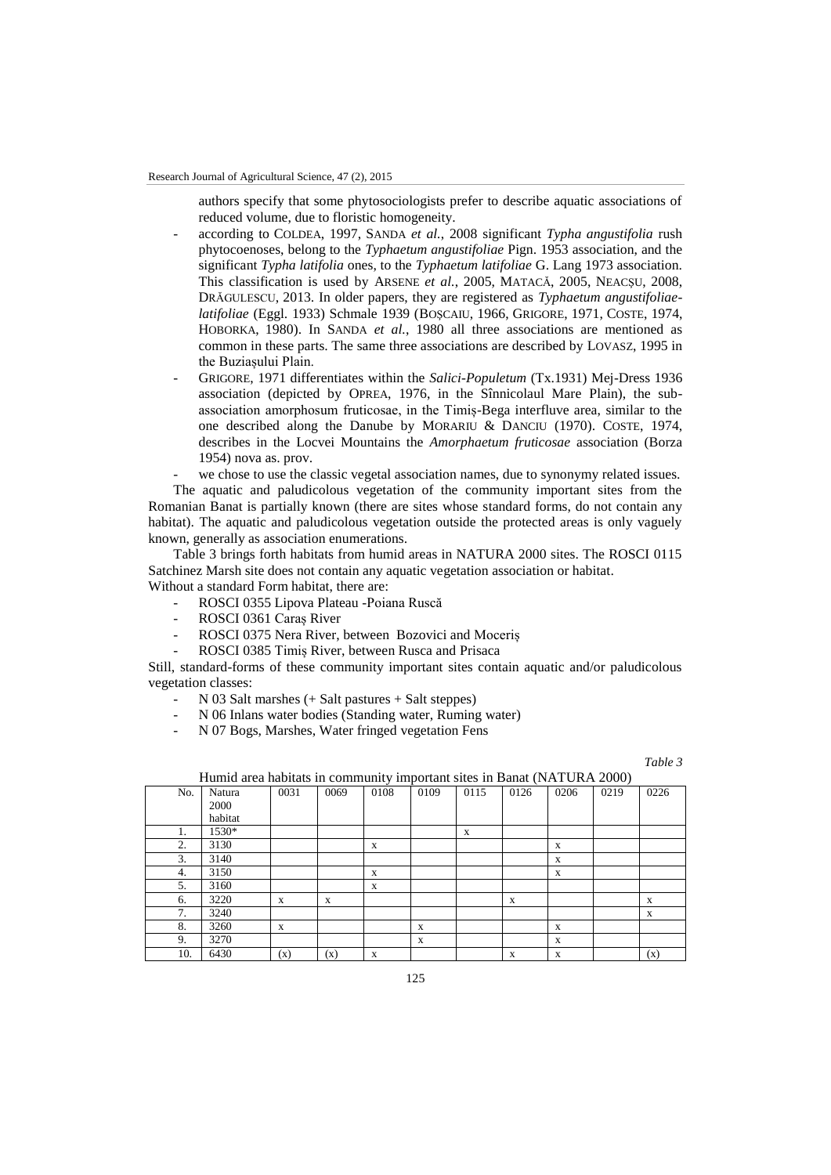authors specify that some phytosociologists prefer to describe aquatic associations of reduced volume, due to floristic homogeneity.

- according to COLDEA, 1997, SANDA *et al.*, 2008 significant *Typha angustifolia* rush phytocoenoses, belong to the *Typhaetum angustifoliae* Pign. 1953 association, and the significant *Typha latifolia* ones, to the *Typhaetum latifoliae* G. Lang 1973 association. This classification is used by ARSENE *et al.*, 2005, MATACĂ, 2005, NEACŞU, 2008, DRĂGULESCU, 2013. In older papers, they are registered as *Typhaetum angustifoliaelatifoliae* (Eggl. 1933) Schmale 1939 (BOŞCAIU, 1966, GRIGORE, 1971, COSTE, 1974, HOBORKA, 1980). In SANDA *et al.*, 1980 all three associations are mentioned as common in these parts. The same three associations are described by LOVASZ, 1995 in the Buziașului Plain.
- GRIGORE, 1971 differentiates within the *Salici-Populetum* (Tx.1931) Mej-Dress 1936 association (depicted by OPREA, 1976, in the Sînnicolaul Mare Plain), the subassociation amorphosum fruticosae, in the Timiș-Bega interfluve area, similar to the one described along the Danube by MORARIU & DANCIU (1970). COSTE, 1974, describes in the Locvei Mountains the *Amorphaetum fruticosae* association (Borza 1954) nova as. prov.

we chose to use the classic vegetal association names, due to synonymy related issues.

The aquatic and paludicolous vegetation of the community important sites from the Romanian Banat is partially known (there are sites whose standard forms, do not contain any habitat). The aquatic and paludicolous vegetation outside the protected areas is only vaguely known, generally as association enumerations.

Table 3 brings forth habitats from humid areas in NATURA 2000 sites. The ROSCI 0115 Satchinez Marsh site does not contain any aquatic vegetation association or habitat. Without a standard Form habitat, there are:

- ROSCI 0355 Lipova Plateau -Poiana Ruscă
- ROSCI 0361 Caraș River
- ROSCI 0375 Nera River, between Bozovici and Moceriș
- ROSCI 0385 Timis River, between Rusca and Prisaca

Still, standard-forms of these community important sites contain aquatic and/or paludicolous vegetation classes:

- N 03 Salt marshes (+ Salt pastures + Salt steppes)
- N 06 Inlans water bodies (Standing water, Ruming water)
- N 07 Bogs, Marshes, Water fringed vegetation Fens

*Table 3*

| Humid area habitats in community important sites in Banat (NATURA 2000) |         |      |             |      |      |      |      |      |      |      |
|-------------------------------------------------------------------------|---------|------|-------------|------|------|------|------|------|------|------|
| No.                                                                     | Natura  | 0031 | 0069        | 0108 | 0109 | 0115 | 0126 | 0206 | 0219 | 0226 |
|                                                                         | 2000    |      |             |      |      |      |      |      |      |      |
|                                                                         | habitat |      |             |      |      |      |      |      |      |      |
|                                                                         | 1530*   |      |             |      |      | X    |      |      |      |      |
| 2.                                                                      | 3130    |      |             | X    |      |      |      | X    |      |      |
| 3.                                                                      | 3140    |      |             |      |      |      |      | X    |      |      |
| 4.                                                                      | 3150    |      |             | X    |      |      |      | X    |      |      |
| 5.                                                                      | 3160    |      |             | X    |      |      |      |      |      |      |
| 6.                                                                      | 3220    | X    | $\mathbf x$ |      |      |      | X    |      |      | X    |
| 7.                                                                      | 3240    |      |             |      |      |      |      |      |      | X    |
| 8.                                                                      | 3260    | X    |             |      | X    |      |      | X    |      |      |
| 9.                                                                      | 3270    |      |             |      | X    |      |      | X    |      |      |
| 10.                                                                     | 6430    | (x)  | (x)         | X    |      |      | X    | X    |      | (x)  |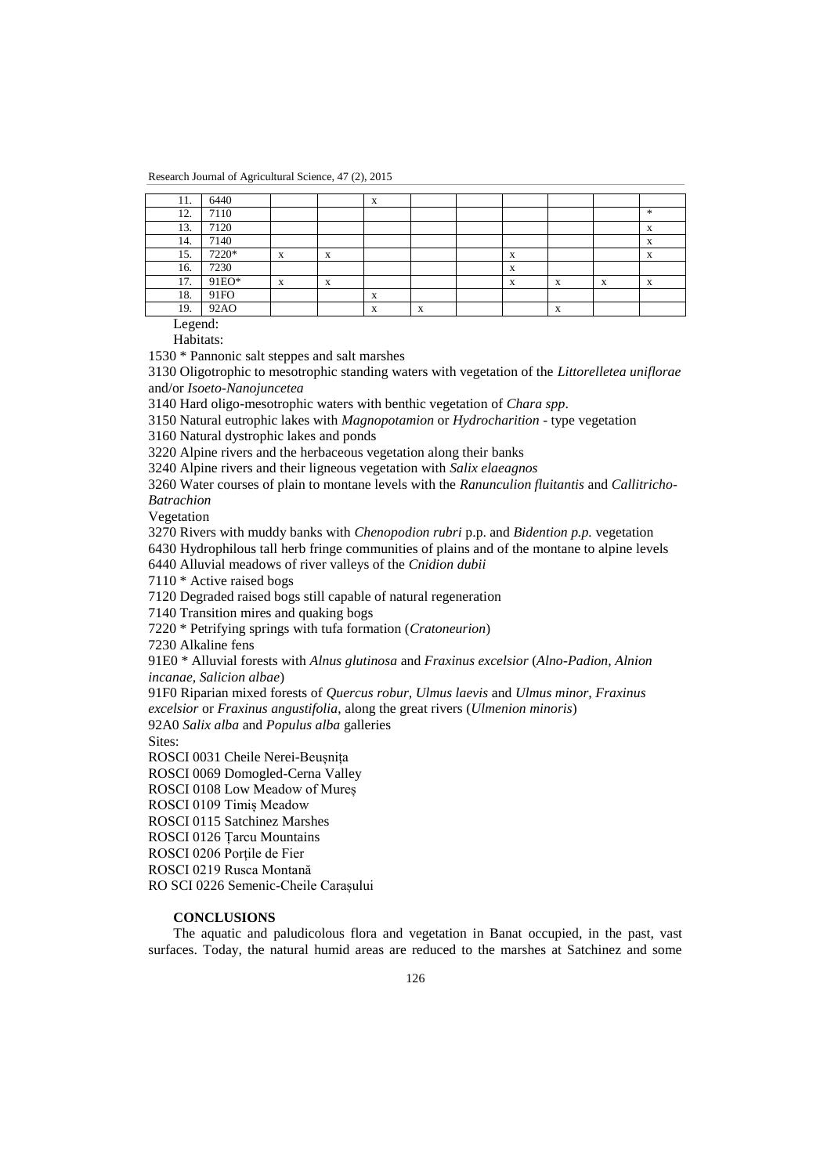| 11. | 6440  |   |                | $\Lambda$                 |                           |   |        |   |   |
|-----|-------|---|----------------|---------------------------|---------------------------|---|--------|---|---|
| 12. | 7110  |   |                |                           |                           |   |        |   | * |
| 13. | 7120  |   |                |                           |                           |   |        |   | X |
| 14. | 7140  |   |                |                           |                           |   |        |   | X |
| 15. | 7220* | X | A              |                           |                           | X |        |   | X |
| 16. | 7230  |   |                |                           |                           | X |        |   |   |
| 17. | 91EO* | X | <b>XF</b><br>A |                           |                           | X | v<br>л | X | X |
| 18. | 91FO  |   |                | $\mathbf{v}$<br>$\Lambda$ |                           |   |        |   |   |
| 19. | 92AO  |   |                | $\mathbf{v}$<br>л         | $\mathbf{v}$<br>$\Lambda$ |   |        |   |   |

Legend:

Habitats:

1530 \* Pannonic salt steppes and salt marshes

3130 Oligotrophic to mesotrophic standing waters with vegetation of the *Littorelletea uniflorae* and/or *Isoeto-Nanojuncetea*

3140 Hard oligo-mesotrophic waters with benthic vegetation of *Chara spp*.

3150 Natural eutrophic lakes with *Magnopotamion* or *Hydrocharition* - type vegetation

3160 Natural dystrophic lakes and ponds

3220 Alpine rivers and the herbaceous vegetation along their banks

3240 Alpine rivers and their ligneous vegetation with *Salix elaeagnos*

3260 Water courses of plain to montane levels with the *Ranunculion fluitantis* and *Callitricho-Batrachion*

Vegetation

3270 Rivers with muddy banks with *Chenopodion rubri* p.p. and *Bidention p.p.* vegetation

6430 Hydrophilous tall herb fringe communities of plains and of the montane to alpine levels

6440 Alluvial meadows of river valleys of the *Cnidion dubii*

7110 \* Active raised bogs

7120 Degraded raised bogs still capable of natural regeneration

7140 Transition mires and quaking bogs

7220 \* Petrifying springs with tufa formation (*Cratoneurion*)

7230 Alkaline fens

91E0 \* Alluvial forests with *Alnus glutinosa* and *Fraxinus excelsior* (*Alno-Padion, Alnion incanae, Salicion albae*)

91F0 Riparian mixed forests of *Quercus robur, Ulmus laevis* and *Ulmus minor, Fraxinus excelsior* or *Fraxinus angustifolia*, along the great rivers (*Ulmenion minoris*)

92A0 *Salix alba* and *Populus alba* galleries

Sites:

ROSCI 0031 Cheile Nerei-Beușnița

ROSCI 0069 Domogled-Cerna Valley

ROSCI 0108 Low Meadow of Mureș

ROSCI 0109 Timiș Meadow

ROSCI 0115 Satchinez Marshes

ROSCI 0126 Țarcu Mountains

ROSCI 0206 Porțile de Fier

ROSCI 0219 Rusca Montană

RO SCI 0226 Semenic-Cheile Carașului

## **CONCLUSIONS**

The aquatic and paludicolous flora and vegetation in Banat occupied, in the past, vast surfaces. Today, the natural humid areas are reduced to the marshes at Satchinez and some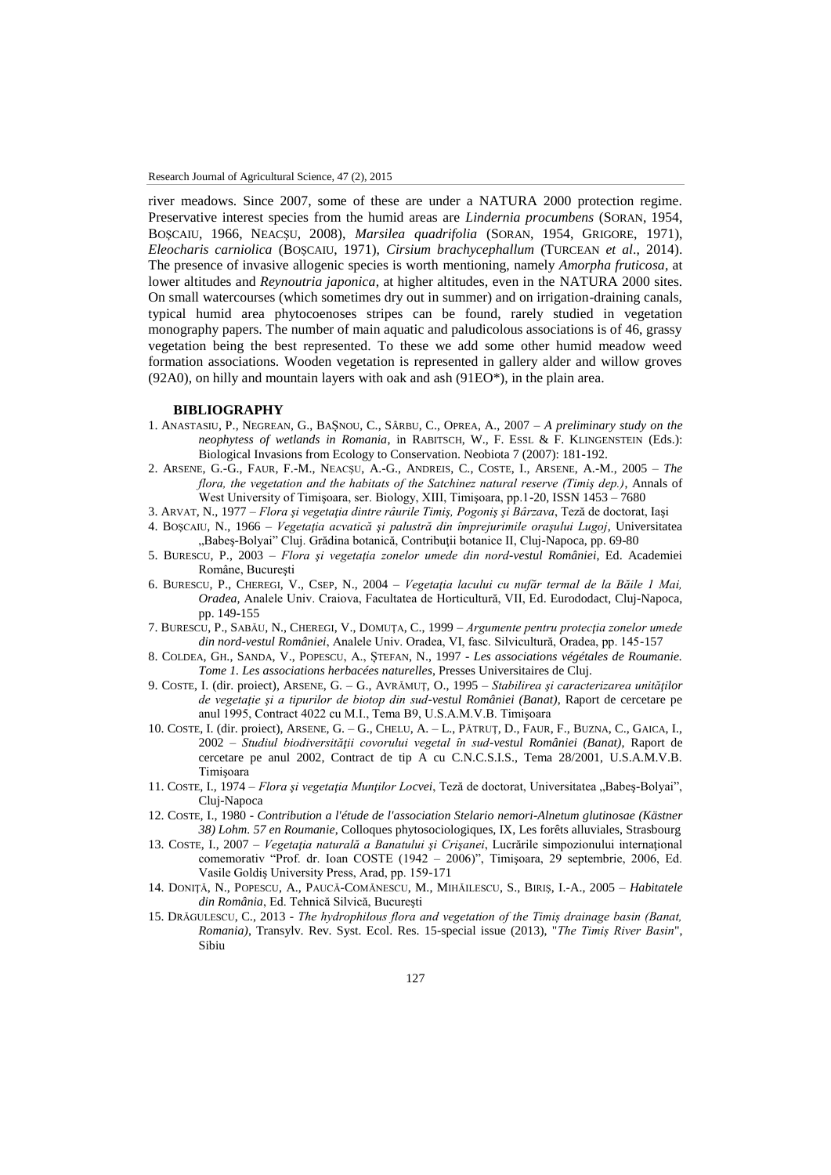river meadows. Since 2007, some of these are under a NATURA 2000 protection regime. Preservative interest species from the humid areas are *Lindernia procumbens* (SORAN, 1954, BOŞCAIU, 1966, NEACŞU, 2008), *Marsilea quadrifolia* (SORAN, 1954, GRIGORE, 1971), *Eleocharis carniolica* (BOŞCAIU, 1971), *Cirsium brachycephallum* (TURCEAN *et al*., 2014). The presence of invasive allogenic species is worth mentioning, namely *Amorpha fruticosa*, at lower altitudes and *Reynoutria japonica*, at higher altitudes, even in the NATURA 2000 sites. On small watercourses (which sometimes dry out in summer) and on irrigation-draining canals, typical humid area phytocoenoses stripes can be found, rarely studied in vegetation monography papers. The number of main aquatic and paludicolous associations is of 46, grassy vegetation being the best represented. To these we add some other humid meadow weed formation associations. Wooden vegetation is represented in gallery alder and willow groves (92A0), on hilly and mountain layers with oak and ash (91EO\*), in the plain area.

### **BIBLIOGRAPHY**

- 1. ANASTASIU, P., NEGREAN, G., BAȘNOU, C., SÂRBU, C., OPREA, A., 2007 *A preliminary study on the neophytess of wetlands in Romania*, in RABITSCH, W., F. ESSL & F. KLINGENSTEIN (Eds.): Biological Invasions from Ecology to Conservation. Neobiota 7 (2007): 181-192.
- 2. ARSENE, G.-G., FAUR, F.-M., NEACŞU, A.-G., ANDREIS, C., COSTE, I., ARSENE, A.-M., 2005 *The flora, the vegetation and the habitats of the Satchinez natural reserve (Timiş dep.)*, Annals of West University of Timişoara, ser. Biology, XIII, Timişoara, pp.1-20, ISSN 1453 – 7680
- 3. ARVAT, N., 1977 *Flora şi vegetaţia dintre râurile Timiş, Pogoniş şi Bârzava*, Teză de doctorat, Iaşi
- 4. BOŞCAIU, N., 1966 *Vegetaţia acvatică şi palustră din împrejurimile oraşului Lugoj*, Universitatea "Babeș-Bolyai" Cluj. Grădina botanică, Contribuții botanice II, Cluj-Napoca, pp. 69-80
- 5. BURESCU, P., 2003 *Flora şi vegetaţia zonelor umede din nord-vestul României*, Ed. Academiei Române, Bucureşti
- 6. BURESCU, P., CHEREGI, V., CSEP, N., 2004 *Vegetaţia lacului cu nufăr termal de la Băile 1 Mai, Oradea,* Analele Univ. Craiova, Facultatea de Horticultură, VII, Ed. Eurododact, Cluj-Napoca, pp. 149-155
- 7. BURESCU, P., SABĂU, N., CHEREGI, V., DOMUŢA, C., 1999 *Argumente pentru protecţia zonelor umede din nord-vestul României*, Analele Univ. Oradea, VI, fasc. Silvicultură, Oradea, pp. 145-157
- 8. COLDEA, GH., SANDA, V., POPESCU, A., ȘTEFAN, N., 1997 *Les associations végétales de Roumanie. Tome 1. Les associations herbacées naturelles*, Presses Universitaires de Cluj.
- 9. COSTE, I. (dir. proiect), ARSENE, G. G., AVRĂMUŢ, O., 1995 *Stabilirea şi caracterizarea unităţilor de vegetaţie şi a tipurilor de biotop din sud-vestul României (Banat)*, Raport de cercetare pe anul 1995, Contract 4022 cu M.I., Tema B9, U.S.A.M.V.B. Timişoara
- 10. COSTE, I. (dir. proiect), ARSENE, G. G., CHELU, A. L., PĂTRUŢ, D., FAUR, F., BUZNA, C., GAICA, I., 2002 – *Studiul biodiversităţii covorului vegetal în sud-vestul României (Banat)*, Raport de cercetare pe anul 2002, Contract de tip A cu C.N.C.S.I.S., Tema 28/2001, U.S.A.M.V.B. Timişoara
- 11. COSTE, I., 1974 *Flora şi vegetația Munților Locvei*, Teză de doctorat, Universitatea "Babeș-Bolyai", Cluj-Napoca
- 12. COSTE, I., 1980 *Contribution a l'étude de l'association Stelario nemori-Alnetum glutinosae (Kästner 38) Lohm. 57 en Roumanie*, Colloques phytosociologiques, IX, Les forêts alluviales, Strasbourg
- 13. COSTE, I., 2007 *Vegetaţia naturală a Banatului şi Crişanei*, Lucrările simpozionului internaţional comemorativ "Prof. dr. Ioan COSTE (1942 – 2006)", Timişoara, 29 septembrie, 2006, Ed. Vasile Goldiş University Press, Arad, pp. 159-171
- 14. DONIŢĂ, N., POPESCU, A., PAUCĂ-COMĂNESCU, M., MIHĂILESCU, S., BIRIŞ, I.-A., 2005 *Habitatele din România*, Ed. Tehnică Silvică, Bucureşti
- 15. DRĂGULESCU, C., 2013 *The hydrophilous flora and vegetation of the Timiș drainage basin (Banat, Romania)*, Transylv. Rev. Syst. Ecol. Res. 15-special issue (2013), "*The Timiș River Basin*", Sibiu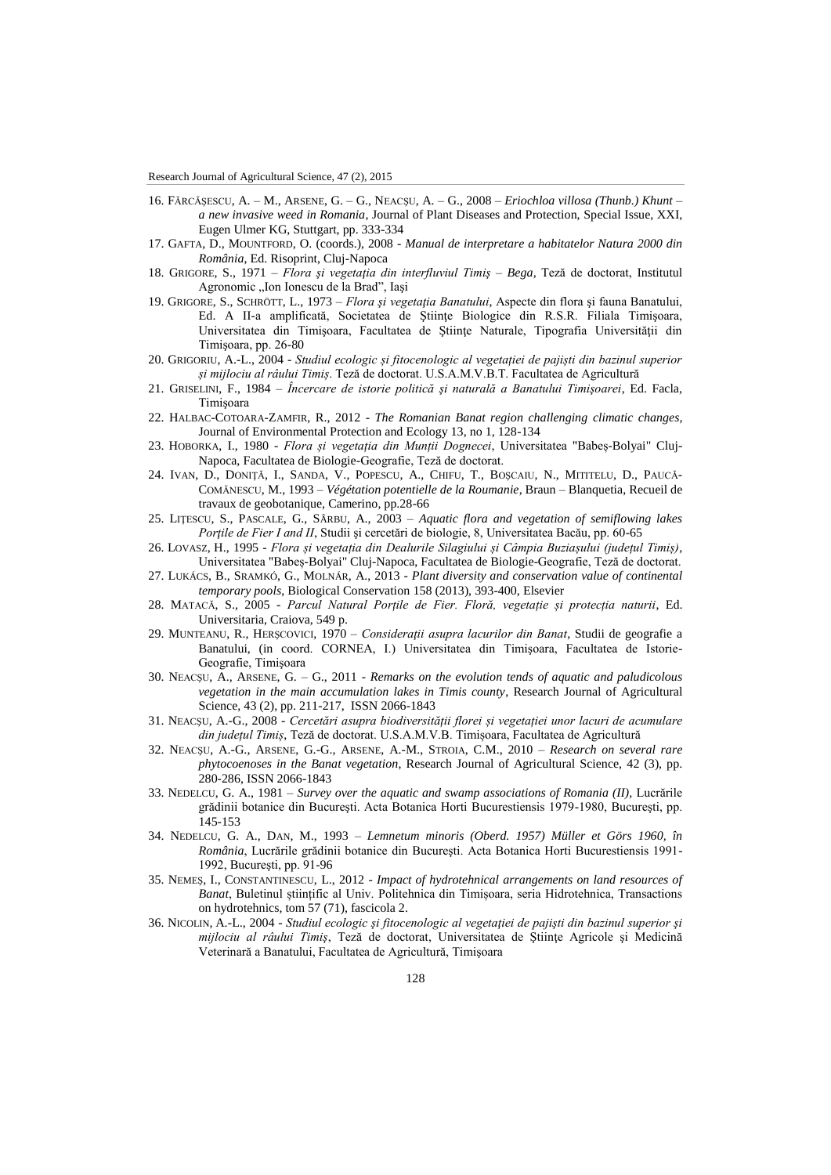- 16. FĂRCĂŞESCU, A. M., ARSENE, G. G., NEACŞU, A. G., 2008 *Eriochloa villosa (Thunb.) Khunt – a new invasive weed in Romania*, Journal of Plant Diseases and Protection, Special Issue, XXI, Eugen Ulmer KG, Stuttgart, pp. 333-334
- 17. GAFTA, D., MOUNTFORD, O. (coords.), 2008 *Manual de interpretare a habitatelor Natura 2000 din România*, Ed. Risoprint, Cluj-Napoca
- 18. GRIGORE, S., 1971 *Flora şi vegetaţia din interfluviul Timiş – Bega,* Teză de doctorat, Institutul Agronomic "Ion Ionescu de la Brad", Iași
- 19. GRIGORE, S., SCHRÖTT, L., 1973 *Flora şi vegetaţia Banatului*, Aspecte din flora şi fauna Banatului, Ed. A II-a amplificată, Societatea de Ştiinţe Biologice din R.S.R. Filiala Timişoara, Universitatea din Timişoara, Facultatea de Ştiinţe Naturale, Tipografia Universităţii din Timişoara, pp. 26-80
- 20. GRIGORIU, A.-L., 2004 *Studiul ecologic și fitocenologic al vegetației de pajiști din bazinul superior și mijlociu al râului Timiș*. Teză de doctorat. U.S.A.M.V.B.T. Facultatea de Agricultură
- 21. GRISELINI, F., 1984 *Încercare de istorie politică şi naturală a Banatului Timişoarei*, Ed. Facla, Timişoara
- 22. HALBAC-COTOARA-ZAMFIR, R., 2012 *The Romanian Banat region challenging climatic changes*, Journal of Environmental Protection and Ecology 13, no 1, 128-134
- 23. HOBORKA, I., 1980 *Flora și vegetația din Munții Dognecei*, Universitatea "Babeș-Bolyai" Cluj-Napoca, Facultatea de Biologie-Geografie, Teză de doctorat.
- 24. IVAN, D., DONIŢĂ, I., SANDA, V., POPESCU, A., CHIFU, T., BOŞCAIU, N., MITITELU, D., PAUCĂ-COMĂNESCU, M., 1993 – *Végétation potentielle de la Roumanie*, Braun – Blanquetia, Recueil de travaux de geobotanique, Camerino, pp.28-66
- 25. LIŢESCU, S., PASCALE, G., SÂRBU, A., 2003 *Aquatic flora and vegetation of semiflowing lakes Portile de Fier I and II*, Studii și cercetări de biologie, 8, Universitatea Bacău, pp. 60-65
- 26. LOVASZ, H., 1995 *Flora și vegetația din Dealurile Silagiului și Câmpia Buziașului (județul Timiș)*, Universitatea "Babeș-Bolyai" Cluj-Napoca, Facultatea de Biologie-Geografie, Teză de doctorat.
- 27. LUKÁCS, B., SRAMKÓ, G., MOLNÁR, A., 2013 *Plant diversity and conservation value of continental temporary pools*, Biological Conservation 158 (2013), 393-400, Elsevier
- 28. MATACĂ, S., 2005 *Parcul Natural Porțile de Fier. Floră, vegetație și protecția naturii*, Ed. Universitaria, Craiova, 549 p.
- 29. MUNTEANU, R., HERŞCOVICI, 1970 *Consideraţii asupra lacurilor din Banat*, Studii de geografie a Banatului, (in coord. CORNEA, I.) Universitatea din Timişoara, Facultatea de Istorie-Geografie, Timişoara
- 30. NEACŞU, A., ARSENE, G. G., 2011 *Remarks on the evolution tends of aquatic and paludicolous vegetation in the main accumulation lakes in Timis county*, Research Journal of Agricultural Science, 43 (2), pp. 211-217, ISSN 2066-1843
- 31. NEACŞU, A.-G., 2008 *Cercetări asupra biodiversității florei și vegetației unor lacuri de acumulare din județul Timiș*, Teză de doctorat. U.S.A.M.V.B. Timișoara, Facultatea de Agricultură
- 32. NEACŞU, A.-G., ARSENE, G.-G., ARSENE, A.-M., STROIA, C.M., 2010 *Research on several rare phytocoenoses in the Banat vegetation*, Research Journal of Agricultural Science, 42 (3), pp. 280-286, ISSN 2066-1843
- 33. NEDELCU, G. A., 1981 *Survey over the aquatic and swamp associations of Romania (II),* Lucrările grădinii botanice din Bucureşti. Acta Botanica Horti Bucurestiensis 1979-1980, Bucureşti, pp. 145-153
- 34. NEDELCU, G. A., DAN, M., 1993 *Lemnetum minoris (Oberd. 1957) Müller et Görs 1960, în România*, Lucrările grădinii botanice din Bucureşti. Acta Botanica Horti Bucurestiensis 1991- 1992, Bucureşti, pp. 91-96
- 35. NEMEŞ, I., CONSTANTINESCU, L., 2012 *Impact of hydrotehnical arrangements on land resources of Banat*, Buletinul științific al Univ. Politehnica din Timișoara, seria Hidrotehnica, Transactions on hydrotehnics, tom 57 (71), fascicola 2.
- 36. NICOLIN, A.-L., 2004 *Studiul ecologic şi fitocenologic al vegetaţiei de pajişti din bazinul superior şi mijlociu al râului Timiş*, Teză de doctorat, Universitatea de Ştiinţe Agricole şi Medicină Veterinară a Banatului, Facultatea de Agricultură, Timişoara